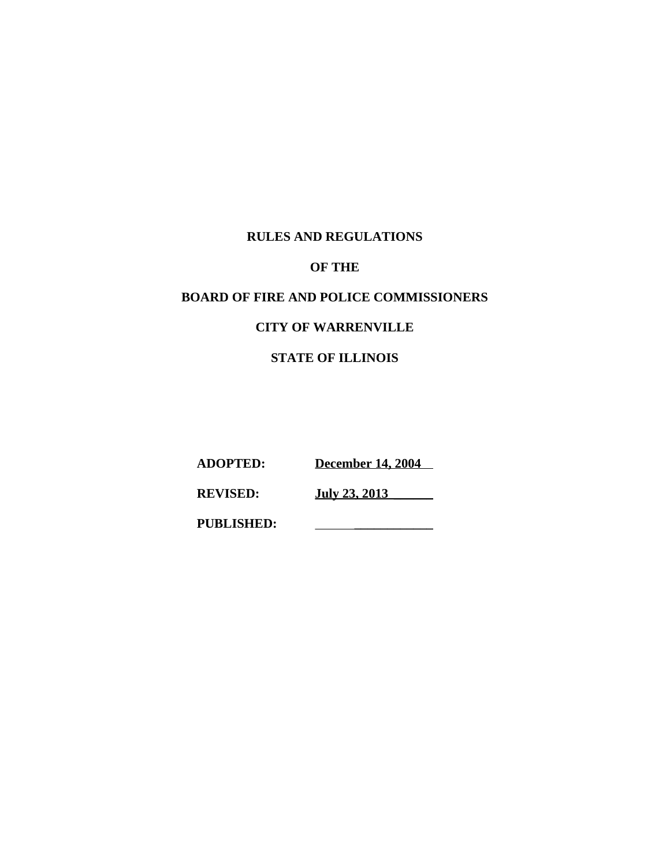# **RULES AND REGULATIONS**

# **OF THE**

# **BOARD OF FIRE AND POLICE COMMISSIONERS**

# **CITY OF WARRENVILLE**

# **STATE OF ILLINOIS**

**ADOPTED: December 14, 2004** 

**REVISED: July 23, 2013 \_\_\_\_\_\_**

**PUBLISHED: \_\_\_\_\_\_\_\_\_\_\_\_**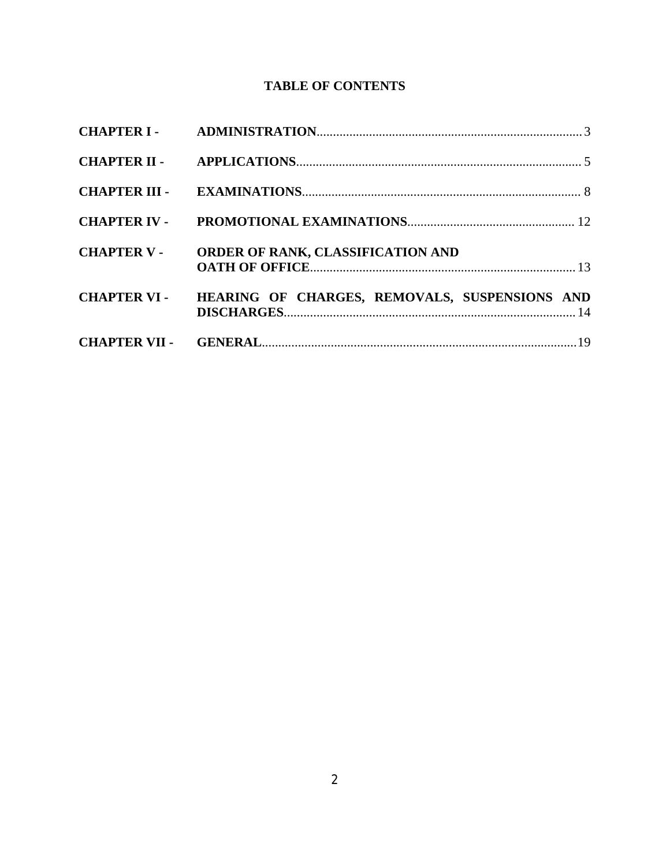# **TABLE OF CONTENTS**

| <b>CHAPTER V -</b> | ORDER OF RANK, CLASSIFICATION AND                          |  |
|--------------------|------------------------------------------------------------|--|
|                    | CHAPTER VI - HEARING OF CHARGES, REMOVALS, SUSPENSIONS AND |  |
|                    |                                                            |  |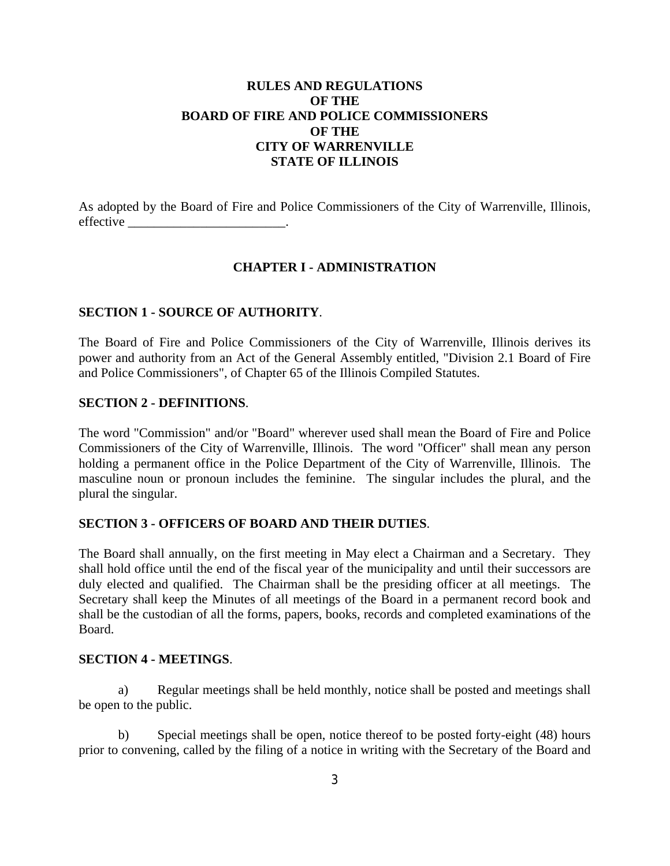# **RULES AND REGULATIONS OF THE BOARD OF FIRE AND POLICE COMMISSIONERS OF THE CITY OF WARRENVILLE STATE OF ILLINOIS**

As adopted by the Board of Fire and Police Commissioners of the City of Warrenville, Illinois, effective \_\_\_\_\_\_\_\_\_\_\_\_\_\_\_\_\_\_\_\_\_\_\_\_.

## **CHAPTER I - ADMINISTRATION**

## **SECTION 1 - SOURCE OF AUTHORITY**.

The Board of Fire and Police Commissioners of the City of Warrenville, Illinois derives its power and authority from an Act of the General Assembly entitled, "Division 2.1 Board of Fire and Police Commissioners", of Chapter 65 of the Illinois Compiled Statutes.

## **SECTION 2 - DEFINITIONS**.

The word "Commission" and/or "Board" wherever used shall mean the Board of Fire and Police Commissioners of the City of Warrenville, Illinois. The word "Officer" shall mean any person holding a permanent office in the Police Department of the City of Warrenville, Illinois. The masculine noun or pronoun includes the feminine. The singular includes the plural, and the plural the singular.

## **SECTION 3 - OFFICERS OF BOARD AND THEIR DUTIES**.

The Board shall annually, on the first meeting in May elect a Chairman and a Secretary. They shall hold office until the end of the fiscal year of the municipality and until their successors are duly elected and qualified. The Chairman shall be the presiding officer at all meetings. The Secretary shall keep the Minutes of all meetings of the Board in a permanent record book and shall be the custodian of all the forms, papers, books, records and completed examinations of the Board.

## **SECTION 4 - MEETINGS**.

a) Regular meetings shall be held monthly, notice shall be posted and meetings shall be open to the public.

b) Special meetings shall be open, notice thereof to be posted forty-eight (48) hours prior to convening, called by the filing of a notice in writing with the Secretary of the Board and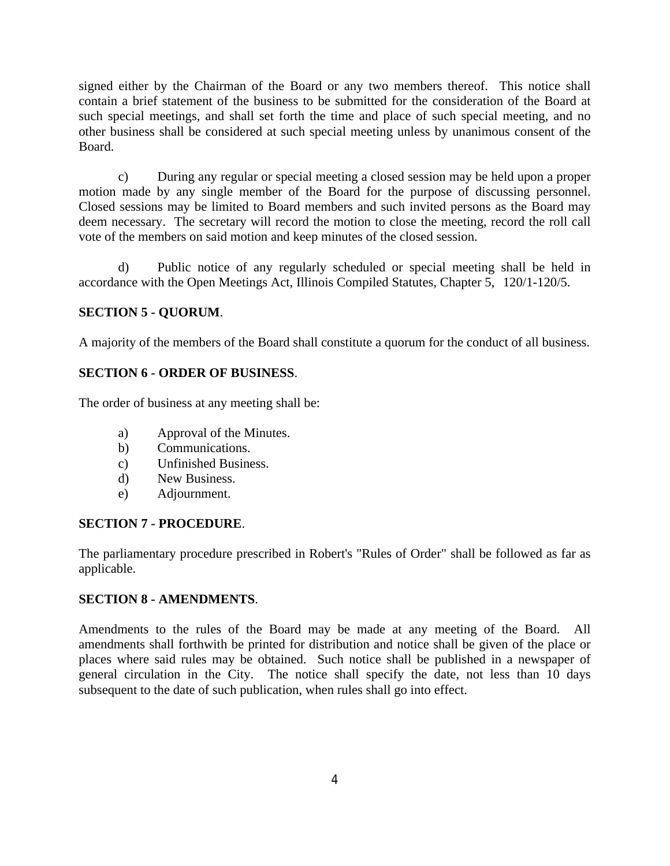signed either by the Chairman of the Board or any two members thereof. This notice shall contain a brief statement of the business to be submitted for the consideration of the Board at such special meetings, and shall set forth the time and place of such special meeting, and no other business shall be considered at such special meeting unless by unanimous consent of the Board.

c) During any regular or special meeting a closed session may be held upon a proper motion made by any single member of the Board for the purpose of discussing personnel. Closed sessions may be limited to Board members and such invited persons as the Board may deem necessary. The secretary will record the motion to close the meeting, record the roll call vote of the members on said motion and keep minutes of the closed session.

d) Public notice of any regularly scheduled or special meeting shall be held in accordance with the Open Meetings Act, Illinois Compiled Statutes, Chapter 5, 120/1-120/5.

# **SECTION 5 - QUORUM**.

A majority of the members of the Board shall constitute a quorum for the conduct of all business.

# **SECTION 6 - ORDER OF BUSINESS**.

The order of business at any meeting shall be:

- a) Approval of the Minutes.
- b) Communications.
- c) Unfinished Business.
- d) New Business.
- e) Adjournment.

# **SECTION 7 - PROCEDURE**.

The parliamentary procedure prescribed in Robert's "Rules of Order" shall be followed as far as applicable.

## **SECTION 8 - AMENDMENTS**.

Amendments to the rules of the Board may be made at any meeting of the Board. All amendments shall forthwith be printed for distribution and notice shall be given of the place or places where said rules may be obtained. Such notice shall be published in a newspaper of general circulation in the City. The notice shall specify the date, not less than 10 days subsequent to the date of such publication, when rules shall go into effect.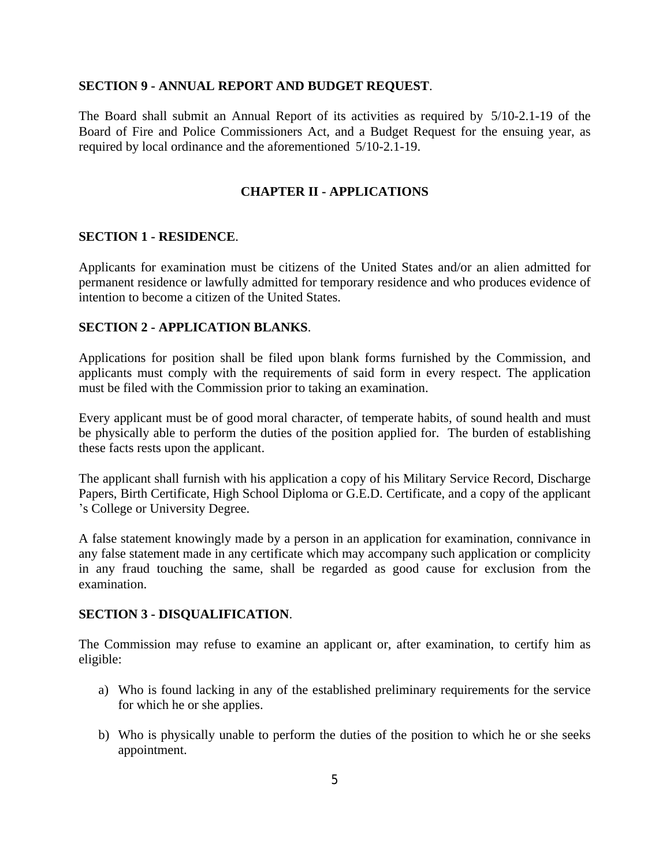#### **SECTION 9 - ANNUAL REPORT AND BUDGET REQUEST**.

The Board shall submit an Annual Report of its activities as required by 5/10-2.1-19 of the Board of Fire and Police Commissioners Act, and a Budget Request for the ensuing year, as required by local ordinance and the aforementioned 5/10-2.1-19.

### **CHAPTER II - APPLICATIONS**

#### **SECTION 1 - RESIDENCE**.

Applicants for examination must be citizens of the United States and/or an alien admitted for permanent residence or lawfully admitted for temporary residence and who produces evidence of intention to become a citizen of the United States.

#### **SECTION 2 - APPLICATION BLANKS**.

Applications for position shall be filed upon blank forms furnished by the Commission, and applicants must comply with the requirements of said form in every respect. The application must be filed with the Commission prior to taking an examination.

Every applicant must be of good moral character, of temperate habits, of sound health and must be physically able to perform the duties of the position applied for. The burden of establishing these facts rests upon the applicant.

The applicant shall furnish with his application a copy of his Military Service Record, Discharge Papers, Birth Certificate, High School Diploma or G.E.D. Certificate, and a copy of the applicant 's College or University Degree.

A false statement knowingly made by a person in an application for examination, connivance in any false statement made in any certificate which may accompany such application or complicity in any fraud touching the same, shall be regarded as good cause for exclusion from the examination.

#### **SECTION 3 - DISQUALIFICATION**.

The Commission may refuse to examine an applicant or, after examination, to certify him as eligible:

- a) Who is found lacking in any of the established preliminary requirements for the service for which he or she applies.
- b) Who is physically unable to perform the duties of the position to which he or she seeks appointment.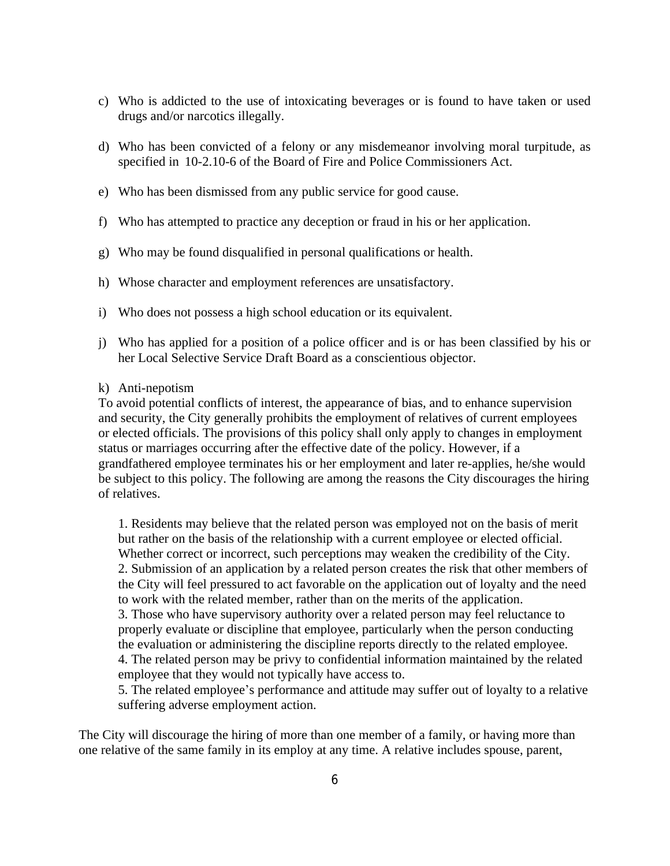- c) Who is addicted to the use of intoxicating beverages or is found to have taken or used drugs and/or narcotics illegally.
- d) Who has been convicted of a felony or any misdemeanor involving moral turpitude, as specified in 10-2.10-6 of the Board of Fire and Police Commissioners Act.
- e) Who has been dismissed from any public service for good cause.
- f) Who has attempted to practice any deception or fraud in his or her application.
- g) Who may be found disqualified in personal qualifications or health.
- h) Whose character and employment references are unsatisfactory.
- i) Who does not possess a high school education or its equivalent.
- j) Who has applied for a position of a police officer and is or has been classified by his or her Local Selective Service Draft Board as a conscientious objector.
- k) Anti-nepotism

To avoid potential conflicts of interest, the appearance of bias, and to enhance supervision and security, the City generally prohibits the employment of relatives of current employees or elected officials. The provisions of this policy shall only apply to changes in employment status or marriages occurring after the effective date of the policy. However, if a grandfathered employee terminates his or her employment and later re-applies, he/she would be subject to this policy. The following are among the reasons the City discourages the hiring of relatives.

1. Residents may believe that the related person was employed not on the basis of merit but rather on the basis of the relationship with a current employee or elected official. Whether correct or incorrect, such perceptions may weaken the credibility of the City. 2. Submission of an application by a related person creates the risk that other members of the City will feel pressured to act favorable on the application out of loyalty and the need to work with the related member, rather than on the merits of the application. 3. Those who have supervisory authority over a related person may feel reluctance to properly evaluate or discipline that employee, particularly when the person conducting the evaluation or administering the discipline reports directly to the related employee. 4. The related person may be privy to confidential information maintained by the related employee that they would not typically have access to.

5. The related employee's performance and attitude may suffer out of loyalty to a relative suffering adverse employment action.

The City will discourage the hiring of more than one member of a family, or having more than one relative of the same family in its employ at any time. A relative includes spouse, parent,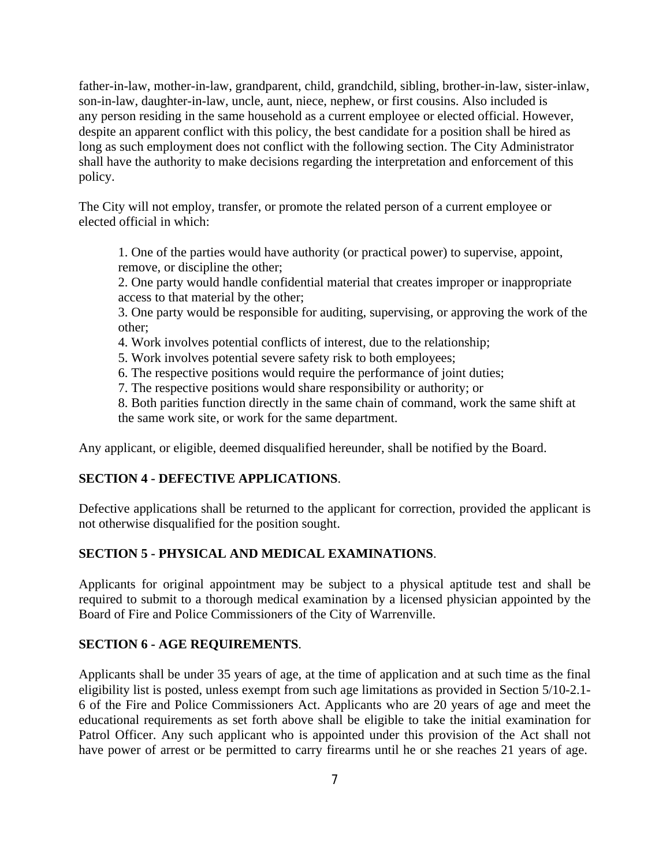father-in-law, mother-in-law, grandparent, child, grandchild, sibling, brother-in-law, sister-inlaw, son-in-law, daughter-in-law, uncle, aunt, niece, nephew, or first cousins. Also included is any person residing in the same household as a current employee or elected official. However, despite an apparent conflict with this policy, the best candidate for a position shall be hired as long as such employment does not conflict with the following section. The City Administrator shall have the authority to make decisions regarding the interpretation and enforcement of this policy.

The City will not employ, transfer, or promote the related person of a current employee or elected official in which:

1. One of the parties would have authority (or practical power) to supervise, appoint, remove, or discipline the other;

2. One party would handle confidential material that creates improper or inappropriate access to that material by the other;

3. One party would be responsible for auditing, supervising, or approving the work of the other;

4. Work involves potential conflicts of interest, due to the relationship;

5. Work involves potential severe safety risk to both employees;

6. The respective positions would require the performance of joint duties;

7. The respective positions would share responsibility or authority; or

8. Both parities function directly in the same chain of command, work the same shift at the same work site, or work for the same department.

Any applicant, or eligible, deemed disqualified hereunder, shall be notified by the Board.

## **SECTION 4 - DEFECTIVE APPLICATIONS**.

Defective applications shall be returned to the applicant for correction, provided the applicant is not otherwise disqualified for the position sought.

## **SECTION 5 - PHYSICAL AND MEDICAL EXAMINATIONS**.

Applicants for original appointment may be subject to a physical aptitude test and shall be required to submit to a thorough medical examination by a licensed physician appointed by the Board of Fire and Police Commissioners of the City of Warrenville.

## **SECTION 6 - AGE REQUIREMENTS**.

Applicants shall be under 35 years of age, at the time of application and at such time as the final eligibility list is posted, unless exempt from such age limitations as provided in Section 5/10-2.1- 6 of the Fire and Police Commissioners Act. Applicants who are 20 years of age and meet the educational requirements as set forth above shall be eligible to take the initial examination for Patrol Officer. Any such applicant who is appointed under this provision of the Act shall not have power of arrest or be permitted to carry firearms until he or she reaches 21 years of age.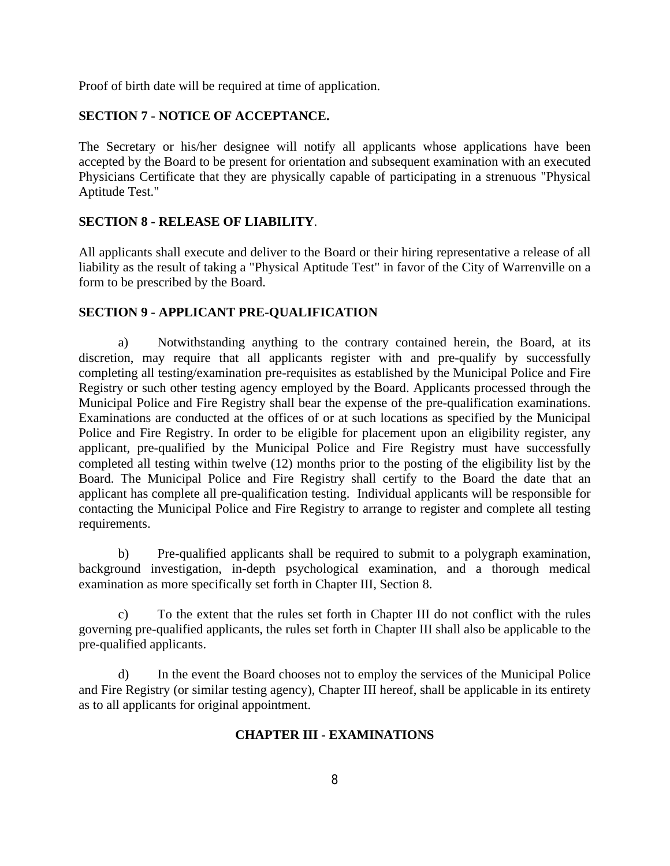Proof of birth date will be required at time of application.

# **SECTION 7 - NOTICE OF ACCEPTANCE.**

The Secretary or his/her designee will notify all applicants whose applications have been accepted by the Board to be present for orientation and subsequent examination with an executed Physicians Certificate that they are physically capable of participating in a strenuous "Physical Aptitude Test."

## **SECTION 8 - RELEASE OF LIABILITY**.

All applicants shall execute and deliver to the Board or their hiring representative a release of all liability as the result of taking a "Physical Aptitude Test" in favor of the City of Warrenville on a form to be prescribed by the Board.

## **SECTION 9 - APPLICANT PRE-QUALIFICATION**

a) Notwithstanding anything to the contrary contained herein, the Board, at its discretion, may require that all applicants register with and pre-qualify by successfully completing all testing/examination pre-requisites as established by the Municipal Police and Fire Registry or such other testing agency employed by the Board. Applicants processed through the Municipal Police and Fire Registry shall bear the expense of the pre-qualification examinations. Examinations are conducted at the offices of or at such locations as specified by the Municipal Police and Fire Registry. In order to be eligible for placement upon an eligibility register, any applicant, pre-qualified by the Municipal Police and Fire Registry must have successfully completed all testing within twelve (12) months prior to the posting of the eligibility list by the Board. The Municipal Police and Fire Registry shall certify to the Board the date that an applicant has complete all pre-qualification testing. Individual applicants will be responsible for contacting the Municipal Police and Fire Registry to arrange to register and complete all testing requirements.

b) Pre-qualified applicants shall be required to submit to a polygraph examination, background investigation, in-depth psychological examination, and a thorough medical examination as more specifically set forth in Chapter III, Section 8.

c) To the extent that the rules set forth in Chapter III do not conflict with the rules governing pre-qualified applicants, the rules set forth in Chapter III shall also be applicable to the pre-qualified applicants.

d) In the event the Board chooses not to employ the services of the Municipal Police and Fire Registry (or similar testing agency), Chapter III hereof, shall be applicable in its entirety as to all applicants for original appointment.

## **CHAPTER III - EXAMINATIONS**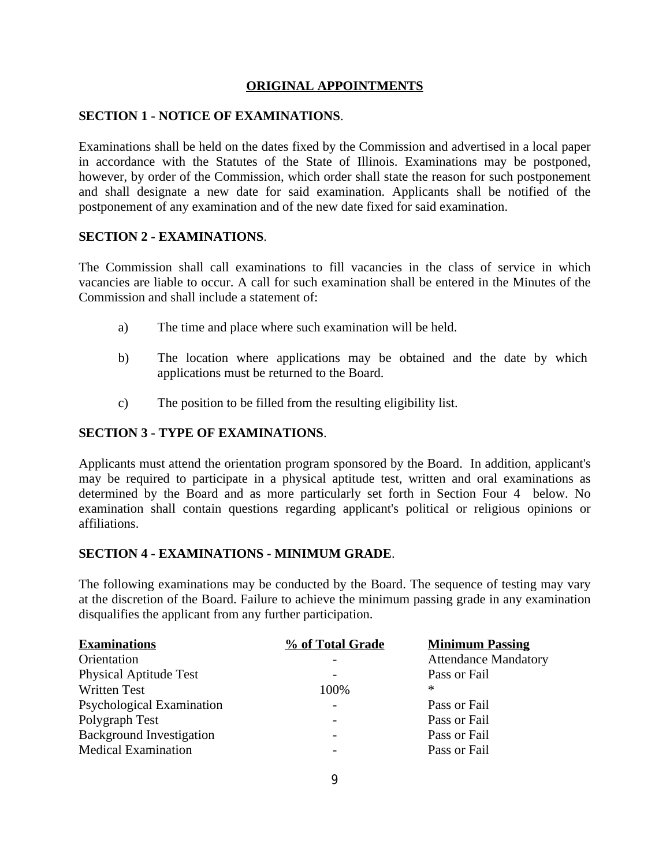## **ORIGINAL APPOINTMENTS**

## **SECTION 1 - NOTICE OF EXAMINATIONS**.

Examinations shall be held on the dates fixed by the Commission and advertised in a local paper in accordance with the Statutes of the State of Illinois. Examinations may be postponed, however, by order of the Commission, which order shall state the reason for such postponement and shall designate a new date for said examination. Applicants shall be notified of the postponement of any examination and of the new date fixed for said examination.

## **SECTION 2 - EXAMINATIONS**.

The Commission shall call examinations to fill vacancies in the class of service in which vacancies are liable to occur. A call for such examination shall be entered in the Minutes of the Commission and shall include a statement of:

- a) The time and place where such examination will be held.
- b) The location where applications may be obtained and the date by which applications must be returned to the Board.
- c) The position to be filled from the resulting eligibility list.

## **SECTION 3 - TYPE OF EXAMINATIONS**.

Applicants must attend the orientation program sponsored by the Board. In addition, applicant's may be required to participate in a physical aptitude test, written and oral examinations as determined by the Board and as more particularly set forth in Section Four 4 below. No examination shall contain questions regarding applicant's political or religious opinions or affiliations.

### **SECTION 4 - EXAMINATIONS - MINIMUM GRADE**.

The following examinations may be conducted by the Board. The sequence of testing may vary at the discretion of the Board. Failure to achieve the minimum passing grade in any examination disqualifies the applicant from any further participation.

| <b>Examinations</b>             | % of Total Grade         | <b>Minimum Passing</b>      |
|---------------------------------|--------------------------|-----------------------------|
| Orientation                     |                          | <b>Attendance Mandatory</b> |
| <b>Physical Aptitude Test</b>   |                          | Pass or Fail                |
| <b>Written Test</b>             | 100%                     | ∗                           |
| Psychological Examination       |                          | Pass or Fail                |
| Polygraph Test                  |                          | Pass or Fail                |
| <b>Background Investigation</b> |                          | Pass or Fail                |
| <b>Medical Examination</b>      | $\overline{\phantom{a}}$ | Pass or Fail                |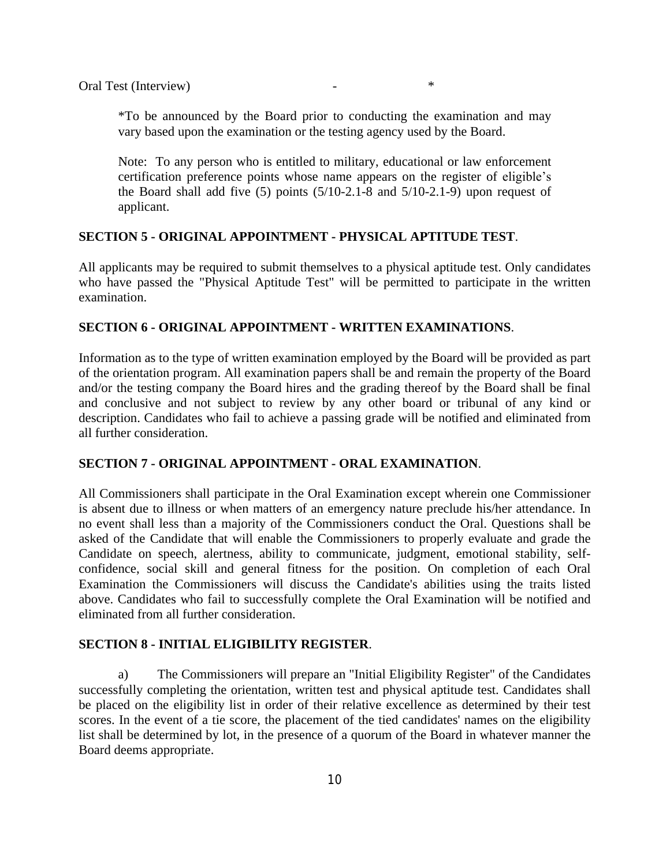\*To be announced by the Board prior to conducting the examination and may vary based upon the examination or the testing agency used by the Board.

Note: To any person who is entitled to military, educational or law enforcement certification preference points whose name appears on the register of eligible's the Board shall add five  $(5)$  points  $(5/10-2.1-8$  and  $5/10-2.1-9)$  upon request of applicant.

#### **SECTION 5 - ORIGINAL APPOINTMENT - PHYSICAL APTITUDE TEST**.

All applicants may be required to submit themselves to a physical aptitude test. Only candidates who have passed the "Physical Aptitude Test" will be permitted to participate in the written examination.

#### **SECTION 6 - ORIGINAL APPOINTMENT - WRITTEN EXAMINATIONS**.

Information as to the type of written examination employed by the Board will be provided as part of the orientation program. All examination papers shall be and remain the property of the Board and/or the testing company the Board hires and the grading thereof by the Board shall be final and conclusive and not subject to review by any other board or tribunal of any kind or description. Candidates who fail to achieve a passing grade will be notified and eliminated from all further consideration.

## **SECTION 7 - ORIGINAL APPOINTMENT - ORAL EXAMINATION**.

All Commissioners shall participate in the Oral Examination except wherein one Commissioner is absent due to illness or when matters of an emergency nature preclude his/her attendance. In no event shall less than a majority of the Commissioners conduct the Oral. Questions shall be asked of the Candidate that will enable the Commissioners to properly evaluate and grade the Candidate on speech, alertness, ability to communicate, judgment, emotional stability, selfconfidence, social skill and general fitness for the position. On completion of each Oral Examination the Commissioners will discuss the Candidate's abilities using the traits listed above. Candidates who fail to successfully complete the Oral Examination will be notified and eliminated from all further consideration.

#### **SECTION 8 - INITIAL ELIGIBILITY REGISTER**.

a) The Commissioners will prepare an "Initial Eligibility Register" of the Candidates successfully completing the orientation, written test and physical aptitude test. Candidates shall be placed on the eligibility list in order of their relative excellence as determined by their test scores. In the event of a tie score, the placement of the tied candidates' names on the eligibility list shall be determined by lot, in the presence of a quorum of the Board in whatever manner the Board deems appropriate.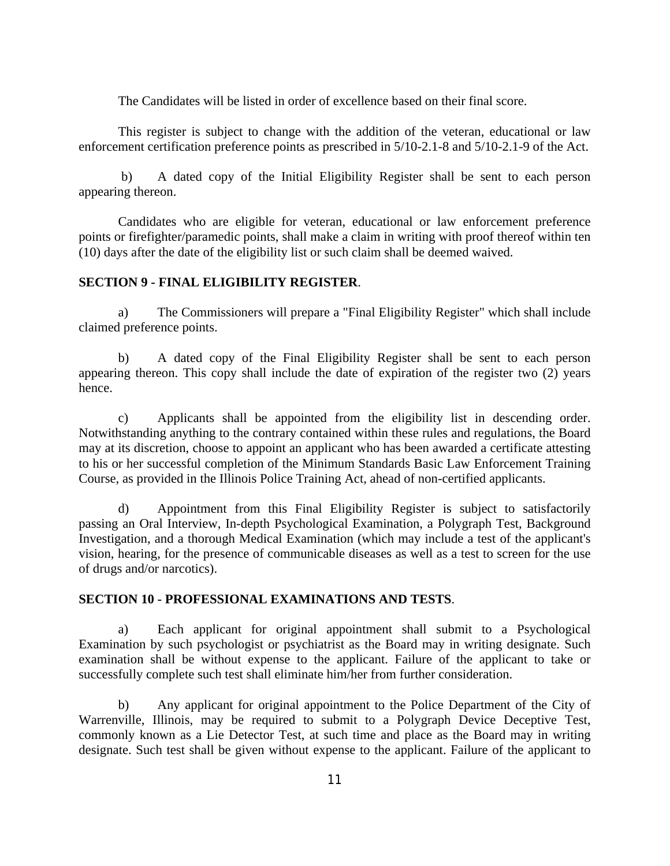The Candidates will be listed in order of excellence based on their final score.

This register is subject to change with the addition of the veteran, educational or law enforcement certification preference points as prescribed in 5/10-2.1-8 and 5/10-2.1-9 of the Act.

 b) A dated copy of the Initial Eligibility Register shall be sent to each person appearing thereon.

Candidates who are eligible for veteran, educational or law enforcement preference points or firefighter/paramedic points, shall make a claim in writing with proof thereof within ten (10) days after the date of the eligibility list or such claim shall be deemed waived.

#### **SECTION 9 - FINAL ELIGIBILITY REGISTER**.

a) The Commissioners will prepare a "Final Eligibility Register" which shall include claimed preference points.

b) A dated copy of the Final Eligibility Register shall be sent to each person appearing thereon. This copy shall include the date of expiration of the register two (2) years hence.

c) Applicants shall be appointed from the eligibility list in descending order. Notwithstanding anything to the contrary contained within these rules and regulations, the Board may at its discretion, choose to appoint an applicant who has been awarded a certificate attesting to his or her successful completion of the Minimum Standards Basic Law Enforcement Training Course, as provided in the Illinois Police Training Act, ahead of non-certified applicants.

d) Appointment from this Final Eligibility Register is subject to satisfactorily passing an Oral Interview, In-depth Psychological Examination, a Polygraph Test, Background Investigation, and a thorough Medical Examination (which may include a test of the applicant's vision, hearing, for the presence of communicable diseases as well as a test to screen for the use of drugs and/or narcotics).

## **SECTION 10 - PROFESSIONAL EXAMINATIONS AND TESTS**.

a) Each applicant for original appointment shall submit to a Psychological Examination by such psychologist or psychiatrist as the Board may in writing designate. Such examination shall be without expense to the applicant. Failure of the applicant to take or successfully complete such test shall eliminate him/her from further consideration.

b) Any applicant for original appointment to the Police Department of the City of Warrenville, Illinois, may be required to submit to a Polygraph Device Deceptive Test, commonly known as a Lie Detector Test, at such time and place as the Board may in writing designate. Such test shall be given without expense to the applicant. Failure of the applicant to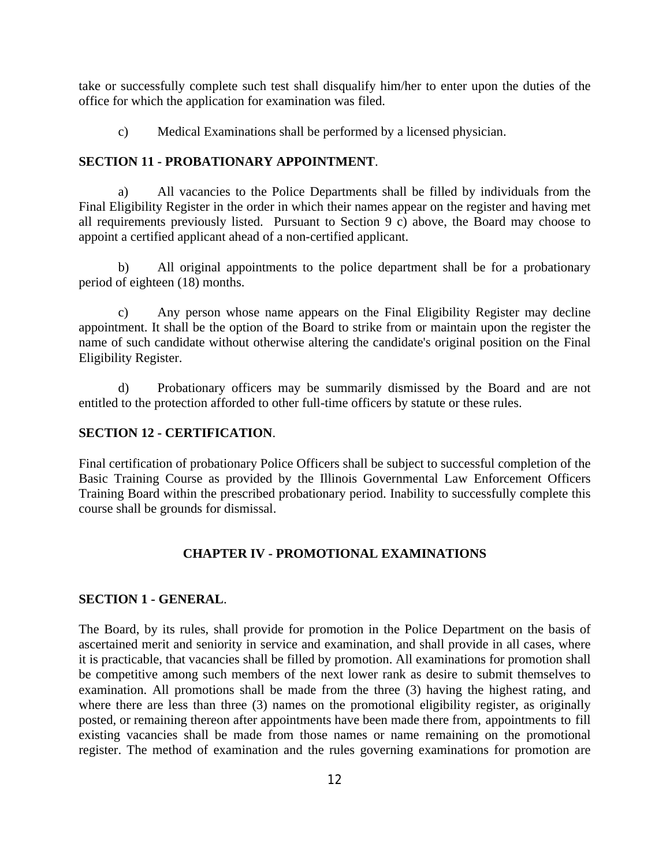take or successfully complete such test shall disqualify him/her to enter upon the duties of the office for which the application for examination was filed.

c) Medical Examinations shall be performed by a licensed physician.

#### **SECTION 11 - PROBATIONARY APPOINTMENT**.

a) All vacancies to the Police Departments shall be filled by individuals from the Final Eligibility Register in the order in which their names appear on the register and having met all requirements previously listed. Pursuant to Section 9 c) above, the Board may choose to appoint a certified applicant ahead of a non-certified applicant.

b) All original appointments to the police department shall be for a probationary period of eighteen (18) months.

c) Any person whose name appears on the Final Eligibility Register may decline appointment. It shall be the option of the Board to strike from or maintain upon the register the name of such candidate without otherwise altering the candidate's original position on the Final Eligibility Register.

d) Probationary officers may be summarily dismissed by the Board and are not entitled to the protection afforded to other full-time officers by statute or these rules.

## **SECTION 12 - CERTIFICATION**.

Final certification of probationary Police Officers shall be subject to successful completion of the Basic Training Course as provided by the Illinois Governmental Law Enforcement Officers Training Board within the prescribed probationary period. Inability to successfully complete this course shall be grounds for dismissal.

#### **CHAPTER IV - PROMOTIONAL EXAMINATIONS**

#### **SECTION 1 - GENERAL**.

The Board, by its rules, shall provide for promotion in the Police Department on the basis of ascertained merit and seniority in service and examination, and shall provide in all cases, where it is practicable, that vacancies shall be filled by promotion. All examinations for promotion shall be competitive among such members of the next lower rank as desire to submit themselves to examination. All promotions shall be made from the three (3) having the highest rating, and where there are less than three (3) names on the promotional eligibility register, as originally posted, or remaining thereon after appointments have been made there from, appointments to fill existing vacancies shall be made from those names or name remaining on the promotional register. The method of examination and the rules governing examinations for promotion are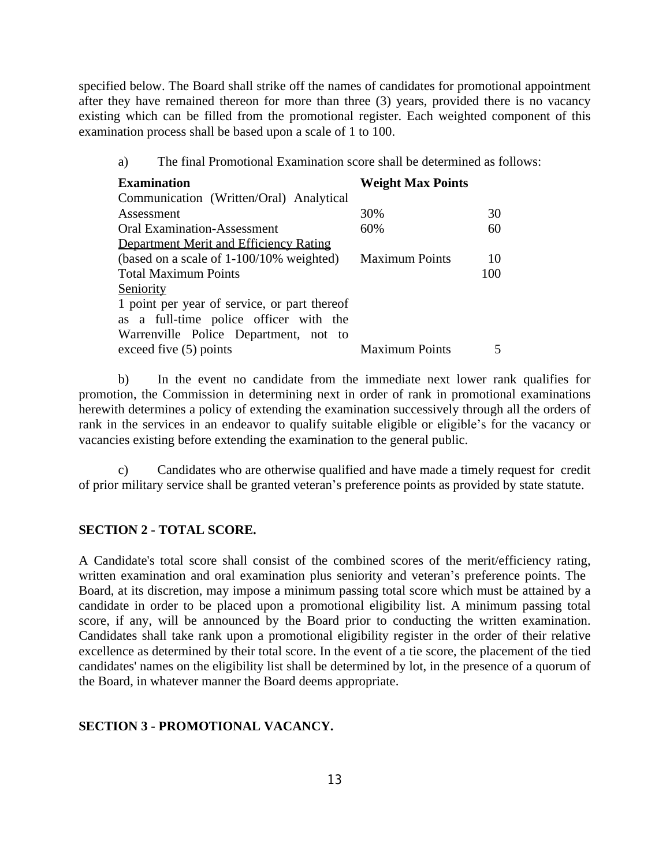specified below. The Board shall strike off the names of candidates for promotional appointment after they have remained thereon for more than three (3) years, provided there is no vacancy existing which can be filled from the promotional register. Each weighted component of this examination process shall be based upon a scale of 1 to 100.

| <b>Examination</b>                           | <b>Weight Max Points</b> |     |
|----------------------------------------------|--------------------------|-----|
| Communication (Written/Oral) Analytical      |                          |     |
| Assessment                                   | 30%                      | 30  |
| <b>Oral Examination-Assessment</b>           | 60%                      | 60  |
| Department Merit and Efficiency Rating       |                          |     |
| (based on a scale of 1-100/10% weighted)     | <b>Maximum Points</b>    | 10  |
| <b>Total Maximum Points</b>                  |                          | 100 |
| Seniority                                    |                          |     |
| 1 point per year of service, or part thereof |                          |     |
| as a full-time police officer with the       |                          |     |
| Warrenville Police Department, not to        |                          |     |
| exceed five $(5)$ points                     | <b>Maximum Points</b>    |     |

b) In the event no candidate from the immediate next lower rank qualifies for promotion, the Commission in determining next in order of rank in promotional examinations herewith determines a policy of extending the examination successively through all the orders of rank in the services in an endeavor to qualify suitable eligible or eligible's for the vacancy or vacancies existing before extending the examination to the general public.

c) Candidates who are otherwise qualified and have made a timely request for credit of prior military service shall be granted veteran's preference points as provided by state statute.

### **SECTION 2 - TOTAL SCORE.**

A Candidate's total score shall consist of the combined scores of the merit/efficiency rating, written examination and oral examination plus seniority and veteran's preference points. The Board, at its discretion, may impose a minimum passing total score which must be attained by a candidate in order to be placed upon a promotional eligibility list. A minimum passing total score, if any, will be announced by the Board prior to conducting the written examination. Candidates shall take rank upon a promotional eligibility register in the order of their relative excellence as determined by their total score. In the event of a tie score, the placement of the tied candidates' names on the eligibility list shall be determined by lot, in the presence of a quorum of the Board, in whatever manner the Board deems appropriate.

#### **SECTION 3 - PROMOTIONAL VACANCY.**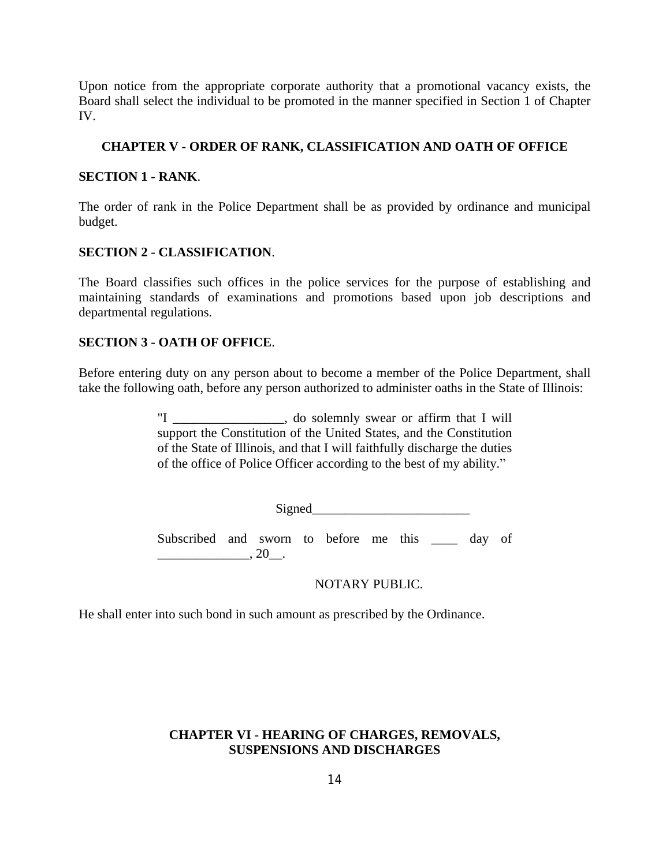Upon notice from the appropriate corporate authority that a promotional vacancy exists, the Board shall select the individual to be promoted in the manner specified in Section 1 of Chapter IV.

## **CHAPTER V - ORDER OF RANK, CLASSIFICATION AND OATH OF OFFICE**

## **SECTION 1 - RANK**.

The order of rank in the Police Department shall be as provided by ordinance and municipal budget.

## **SECTION 2 - CLASSIFICATION**.

The Board classifies such offices in the police services for the purpose of establishing and maintaining standards of examinations and promotions based upon job descriptions and departmental regulations.

## **SECTION 3 - OATH OF OFFICE**.

Before entering duty on any person about to become a member of the Police Department, shall take the following oath, before any person authorized to administer oaths in the State of Illinois:

> "I \_\_\_\_\_\_\_\_\_\_\_\_\_\_\_\_\_, do solemnly swear or affirm that I will support the Constitution of the United States, and the Constitution of the State of Illinois, and that I will faithfully discharge the duties of the office of Police Officer according to the best of my ability."

> > Signed\_\_\_\_\_\_\_\_\_\_\_\_\_\_\_\_\_\_\_\_\_\_\_\_

Subscribed and sworn to before me this \_\_\_\_ day of  $\frac{1}{20}$ , 20\_\_.

## NOTARY PUBLIC.

He shall enter into such bond in such amount as prescribed by the Ordinance.

# **CHAPTER VI - HEARING OF CHARGES, REMOVALS, SUSPENSIONS AND DISCHARGES**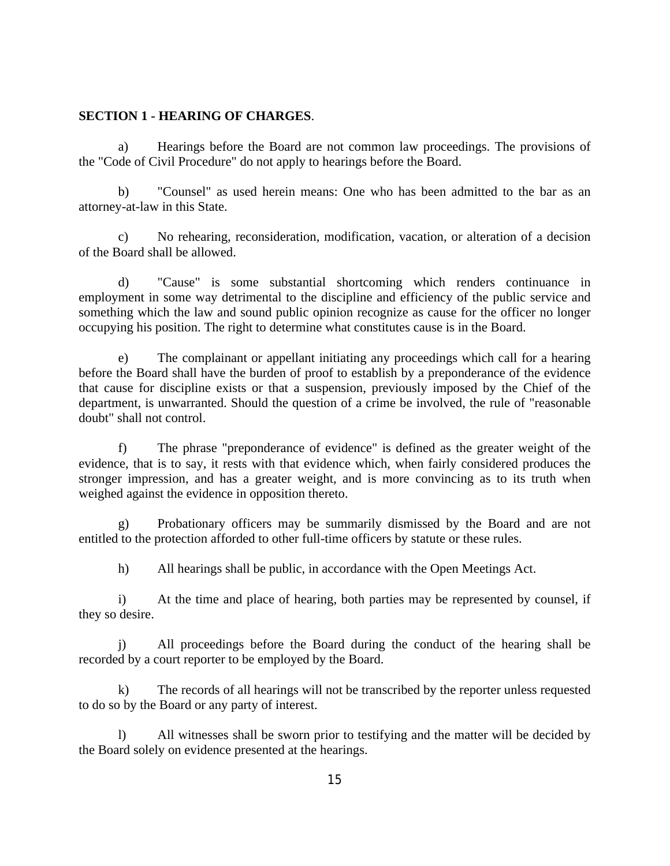#### **SECTION 1 - HEARING OF CHARGES**.

a) Hearings before the Board are not common law proceedings. The provisions of the "Code of Civil Procedure" do not apply to hearings before the Board.

b) "Counsel" as used herein means: One who has been admitted to the bar as an attorney-at-law in this State.

c) No rehearing, reconsideration, modification, vacation, or alteration of a decision of the Board shall be allowed.

d) "Cause" is some substantial shortcoming which renders continuance in employment in some way detrimental to the discipline and efficiency of the public service and something which the law and sound public opinion recognize as cause for the officer no longer occupying his position. The right to determine what constitutes cause is in the Board.

e) The complainant or appellant initiating any proceedings which call for a hearing before the Board shall have the burden of proof to establish by a preponderance of the evidence that cause for discipline exists or that a suspension, previously imposed by the Chief of the department, is unwarranted. Should the question of a crime be involved, the rule of "reasonable doubt" shall not control.

f) The phrase "preponderance of evidence" is defined as the greater weight of the evidence, that is to say, it rests with that evidence which, when fairly considered produces the stronger impression, and has a greater weight, and is more convincing as to its truth when weighed against the evidence in opposition thereto.

g) Probationary officers may be summarily dismissed by the Board and are not entitled to the protection afforded to other full-time officers by statute or these rules.

h) All hearings shall be public, in accordance with the Open Meetings Act.

i) At the time and place of hearing, both parties may be represented by counsel, if they so desire.

j) All proceedings before the Board during the conduct of the hearing shall be recorded by a court reporter to be employed by the Board.

k) The records of all hearings will not be transcribed by the reporter unless requested to do so by the Board or any party of interest.

l) All witnesses shall be sworn prior to testifying and the matter will be decided by the Board solely on evidence presented at the hearings.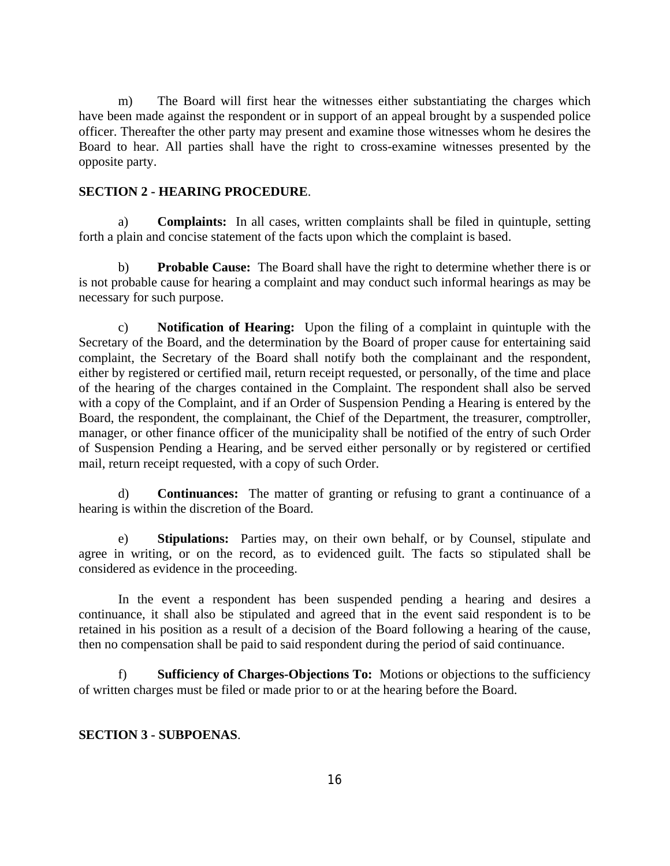m) The Board will first hear the witnesses either substantiating the charges which have been made against the respondent or in support of an appeal brought by a suspended police officer. Thereafter the other party may present and examine those witnesses whom he desires the Board to hear. All parties shall have the right to cross-examine witnesses presented by the opposite party.

#### **SECTION 2 - HEARING PROCEDURE**.

a) **Complaints:** In all cases, written complaints shall be filed in quintuple, setting forth a plain and concise statement of the facts upon which the complaint is based.

b) **Probable Cause:** The Board shall have the right to determine whether there is or is not probable cause for hearing a complaint and may conduct such informal hearings as may be necessary for such purpose.

c) **Notification of Hearing:** Upon the filing of a complaint in quintuple with the Secretary of the Board, and the determination by the Board of proper cause for entertaining said complaint, the Secretary of the Board shall notify both the complainant and the respondent, either by registered or certified mail, return receipt requested, or personally, of the time and place of the hearing of the charges contained in the Complaint. The respondent shall also be served with a copy of the Complaint, and if an Order of Suspension Pending a Hearing is entered by the Board, the respondent, the complainant, the Chief of the Department, the treasurer, comptroller, manager, or other finance officer of the municipality shall be notified of the entry of such Order of Suspension Pending a Hearing, and be served either personally or by registered or certified mail, return receipt requested, with a copy of such Order.

d) **Continuances:** The matter of granting or refusing to grant a continuance of a hearing is within the discretion of the Board.

e) **Stipulations:** Parties may, on their own behalf, or by Counsel, stipulate and agree in writing, or on the record, as to evidenced guilt. The facts so stipulated shall be considered as evidence in the proceeding.

In the event a respondent has been suspended pending a hearing and desires a continuance, it shall also be stipulated and agreed that in the event said respondent is to be retained in his position as a result of a decision of the Board following a hearing of the cause, then no compensation shall be paid to said respondent during the period of said continuance.

f) **Sufficiency of Charges-Objections To:** Motions or objections to the sufficiency of written charges must be filed or made prior to or at the hearing before the Board.

## **SECTION 3 - SUBPOENAS**.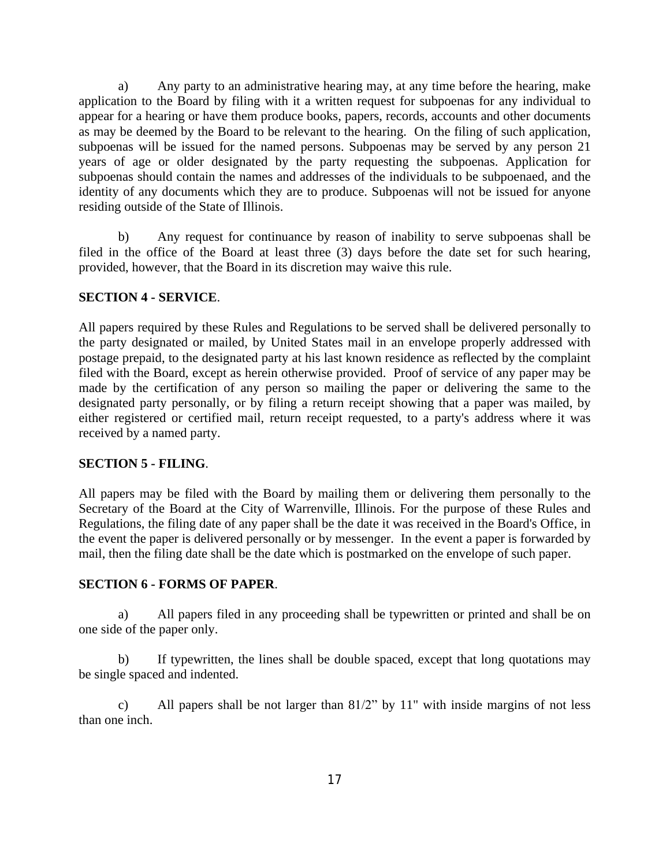a) Any party to an administrative hearing may, at any time before the hearing, make application to the Board by filing with it a written request for subpoenas for any individual to appear for a hearing or have them produce books, papers, records, accounts and other documents as may be deemed by the Board to be relevant to the hearing. On the filing of such application, subpoenas will be issued for the named persons. Subpoenas may be served by any person 21 years of age or older designated by the party requesting the subpoenas. Application for subpoenas should contain the names and addresses of the individuals to be subpoenaed, and the identity of any documents which they are to produce. Subpoenas will not be issued for anyone residing outside of the State of Illinois.

b) Any request for continuance by reason of inability to serve subpoenas shall be filed in the office of the Board at least three (3) days before the date set for such hearing, provided, however, that the Board in its discretion may waive this rule.

## **SECTION 4 - SERVICE**.

All papers required by these Rules and Regulations to be served shall be delivered personally to the party designated or mailed, by United States mail in an envelope properly addressed with postage prepaid, to the designated party at his last known residence as reflected by the complaint filed with the Board, except as herein otherwise provided. Proof of service of any paper may be made by the certification of any person so mailing the paper or delivering the same to the designated party personally, or by filing a return receipt showing that a paper was mailed, by either registered or certified mail, return receipt requested, to a party's address where it was received by a named party.

## **SECTION 5 - FILING**.

All papers may be filed with the Board by mailing them or delivering them personally to the Secretary of the Board at the City of Warrenville, Illinois. For the purpose of these Rules and Regulations, the filing date of any paper shall be the date it was received in the Board's Office, in the event the paper is delivered personally or by messenger. In the event a paper is forwarded by mail, then the filing date shall be the date which is postmarked on the envelope of such paper.

#### **SECTION 6 - FORMS OF PAPER**.

a) All papers filed in any proceeding shall be typewritten or printed and shall be on one side of the paper only.

b) If typewritten, the lines shall be double spaced, except that long quotations may be single spaced and indented.

c) All papers shall be not larger than 81/2" by 11" with inside margins of not less than one inch.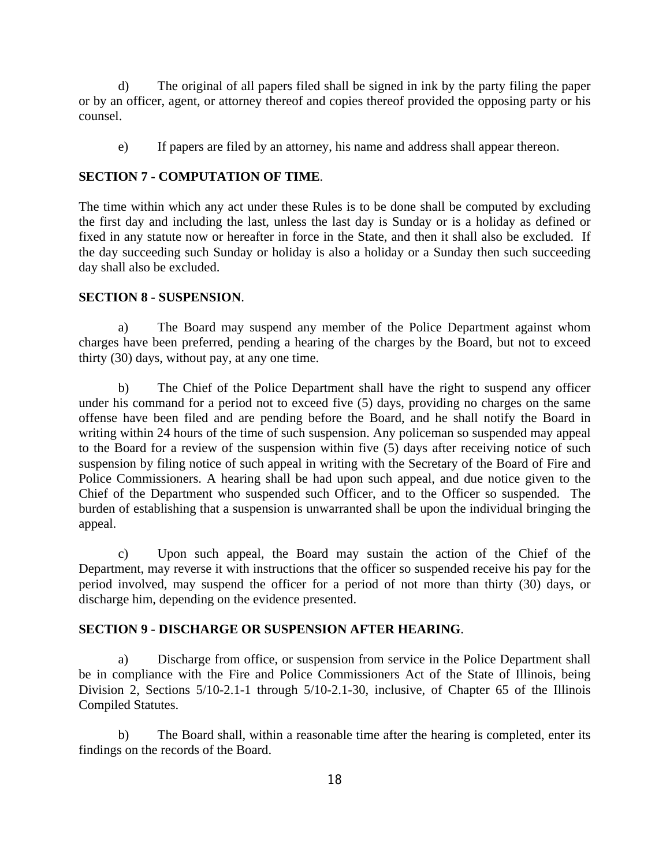d) The original of all papers filed shall be signed in ink by the party filing the paper or by an officer, agent, or attorney thereof and copies thereof provided the opposing party or his counsel.

e) If papers are filed by an attorney, his name and address shall appear thereon.

## **SECTION 7 - COMPUTATION OF TIME**.

The time within which any act under these Rules is to be done shall be computed by excluding the first day and including the last, unless the last day is Sunday or is a holiday as defined or fixed in any statute now or hereafter in force in the State, and then it shall also be excluded. If the day succeeding such Sunday or holiday is also a holiday or a Sunday then such succeeding day shall also be excluded.

#### **SECTION 8 - SUSPENSION**.

a) The Board may suspend any member of the Police Department against whom charges have been preferred, pending a hearing of the charges by the Board, but not to exceed thirty (30) days, without pay, at any one time.

b) The Chief of the Police Department shall have the right to suspend any officer under his command for a period not to exceed five (5) days, providing no charges on the same offense have been filed and are pending before the Board, and he shall notify the Board in writing within 24 hours of the time of such suspension. Any policeman so suspended may appeal to the Board for a review of the suspension within five (5) days after receiving notice of such suspension by filing notice of such appeal in writing with the Secretary of the Board of Fire and Police Commissioners. A hearing shall be had upon such appeal, and due notice given to the Chief of the Department who suspended such Officer, and to the Officer so suspended. The burden of establishing that a suspension is unwarranted shall be upon the individual bringing the appeal.

c) Upon such appeal, the Board may sustain the action of the Chief of the Department, may reverse it with instructions that the officer so suspended receive his pay for the period involved, may suspend the officer for a period of not more than thirty (30) days, or discharge him, depending on the evidence presented.

#### **SECTION 9 - DISCHARGE OR SUSPENSION AFTER HEARING**.

a) Discharge from office, or suspension from service in the Police Department shall be in compliance with the Fire and Police Commissioners Act of the State of Illinois, being Division 2, Sections 5/10-2.1-1 through 5/10-2.1-30, inclusive, of Chapter 65 of the Illinois Compiled Statutes.

b) The Board shall, within a reasonable time after the hearing is completed, enter its findings on the records of the Board.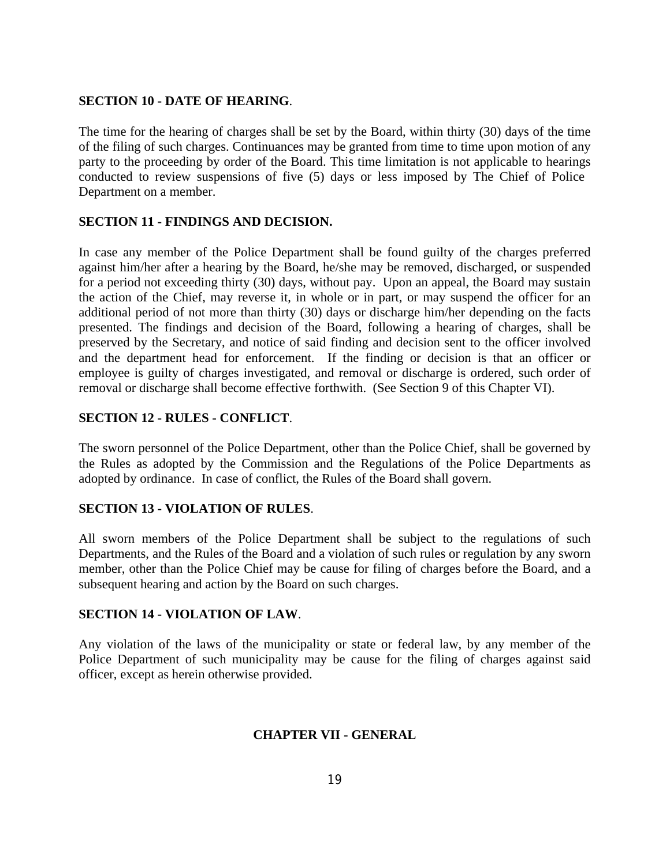### **SECTION 10 - DATE OF HEARING**.

The time for the hearing of charges shall be set by the Board, within thirty (30) days of the time of the filing of such charges. Continuances may be granted from time to time upon motion of any party to the proceeding by order of the Board. This time limitation is not applicable to hearings conducted to review suspensions of five (5) days or less imposed by The Chief of Police Department on a member.

## **SECTION 11 - FINDINGS AND DECISION.**

In case any member of the Police Department shall be found guilty of the charges preferred against him/her after a hearing by the Board, he/she may be removed, discharged, or suspended for a period not exceeding thirty (30) days, without pay. Upon an appeal, the Board may sustain the action of the Chief, may reverse it, in whole or in part, or may suspend the officer for an additional period of not more than thirty (30) days or discharge him/her depending on the facts presented. The findings and decision of the Board, following a hearing of charges, shall be preserved by the Secretary, and notice of said finding and decision sent to the officer involved and the department head for enforcement. If the finding or decision is that an officer or employee is guilty of charges investigated, and removal or discharge is ordered, such order of removal or discharge shall become effective forthwith. (See Section 9 of this Chapter VI).

# **SECTION 12 - RULES - CONFLICT**.

The sworn personnel of the Police Department, other than the Police Chief, shall be governed by the Rules as adopted by the Commission and the Regulations of the Police Departments as adopted by ordinance. In case of conflict, the Rules of the Board shall govern.

## **SECTION 13 - VIOLATION OF RULES**.

All sworn members of the Police Department shall be subject to the regulations of such Departments, and the Rules of the Board and a violation of such rules or regulation by any sworn member, other than the Police Chief may be cause for filing of charges before the Board, and a subsequent hearing and action by the Board on such charges.

## **SECTION 14 - VIOLATION OF LAW**.

Any violation of the laws of the municipality or state or federal law, by any member of the Police Department of such municipality may be cause for the filing of charges against said officer, except as herein otherwise provided.

# **CHAPTER VII - GENERAL**